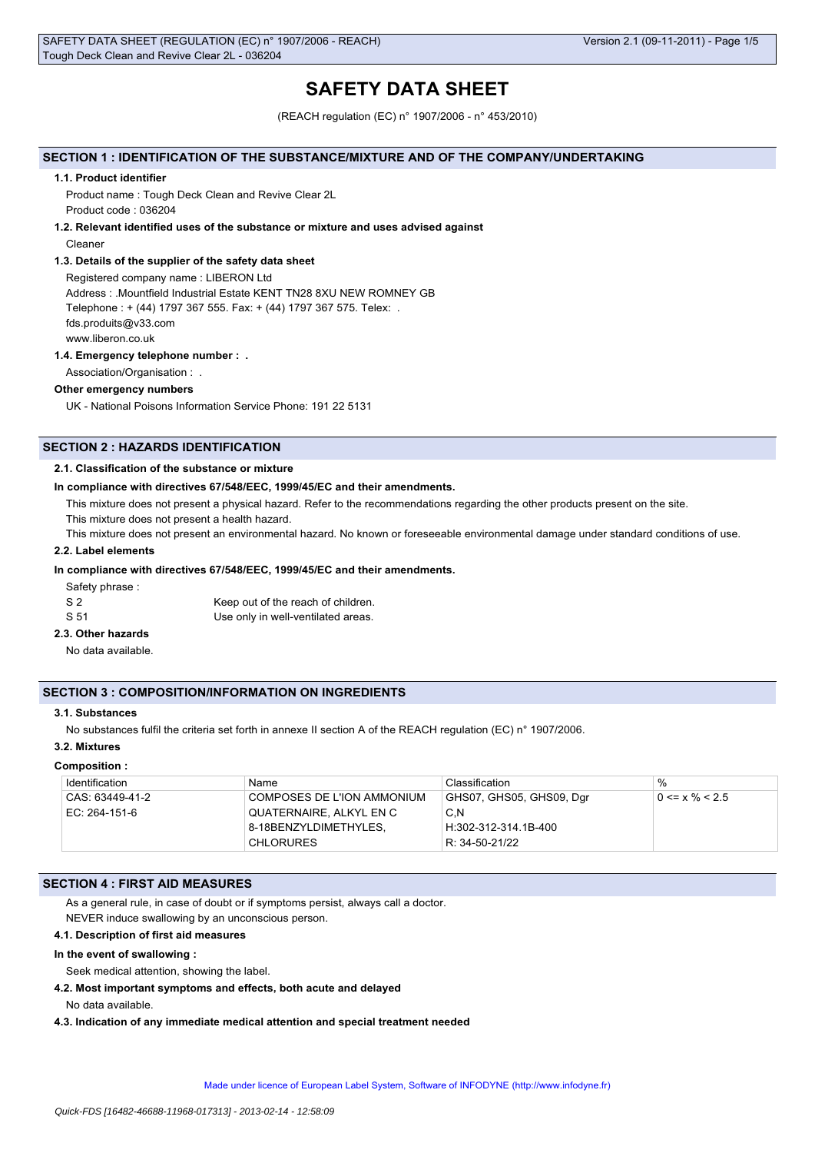# **SAFETY DATA SHEET**

(REACH regulation (EC) n° 1907/2006 - n° 453/2010)

# **SECTION 1 : IDENTIFICATION OF THE SUBSTANCE/MIXTURE AND OF THE COMPANY/UNDERTAKING**

#### **1.1. Product identifier**

Product name : Tough Deck Clean and Revive Clear 2L Product code : 036204

# **1.2. Relevant identified uses of the substance or mixture and uses advised against**

Cleaner

#### **1.3. Details of the supplier of the safety data sheet**

Registered company name : LIBERON Ltd Address : .Mountfield Industrial Estate KENT TN28 8XU NEW ROMNEY GB Telephone : + (44) 1797 367 555. Fax: + (44) 1797 367 575. Telex: . fds.produits@v33.com www.liberon.co.uk

#### **1.4. Emergency telephone number : .**

Association/Organisation : .

### **Other emergency numbers**

UK - National Poisons Information Service Phone: 191 22 5131

# **SECTION 2 : HAZARDS IDENTIFICATION**

#### **2.1. Classification of the substance or mixture**

#### **In compliance with directives 67/548/EEC, 1999/45/EC and their amendments.**

This mixture does not present a physical hazard. Refer to the recommendations regarding the other products present on the site.

This mixture does not present a health hazard.

This mixture does not present an environmental hazard. No known or foreseeable environmental damage under standard conditions of use.

## **2.2. Label elements**

#### **In compliance with directives 67/548/EEC, 1999/45/EC and their amendments.**

Safety phrase :

| S 2  | Keep out of the reach of children. |
|------|------------------------------------|
| S 51 | Use only in well-ventilated areas. |

# **2.3. Other hazards**

No data available.

# **SECTION 3 : COMPOSITION/INFORMATION ON INGREDIENTS**

#### **3.1. Substances**

No substances fulfil the criteria set forth in annexe II section A of the REACH regulation (EC) n° 1907/2006.

#### **3.2. Mixtures**

#### **Composition :**

| Identification  | Name                         | Classification           | $\%$                 |
|-----------------|------------------------------|--------------------------|----------------------|
| CAS: 63449-41-2 | © COMPOSES DE L'ION AMMONIUM | GHS07, GHS05, GHS09, Dgr | $0 \le x \% \le 2.5$ |
| EC: 264-151-6   | QUATERNAIRE, ALKYL EN C      | C.N                      |                      |
|                 | 8-18BENZYLDIMETHYLES.        | H:302-312-314.1B-400     |                      |
|                 | <b>CHLORURES</b>             | R: 34-50-21/22           |                      |

# **SECTION 4 : FIRST AID MEASURES**

As a general rule, in case of doubt or if symptoms persist, always call a doctor. NEVER induce swallowing by an unconscious person.

#### **4.1. Description of first aid measures**

#### **In the event of swallowing :**

Seek medical attention, showing the label.

**4.2. Most important symptoms and effects, both acute and delayed**

No data available.

**4.3. Indication of any immediate medical attention and special treatment needed**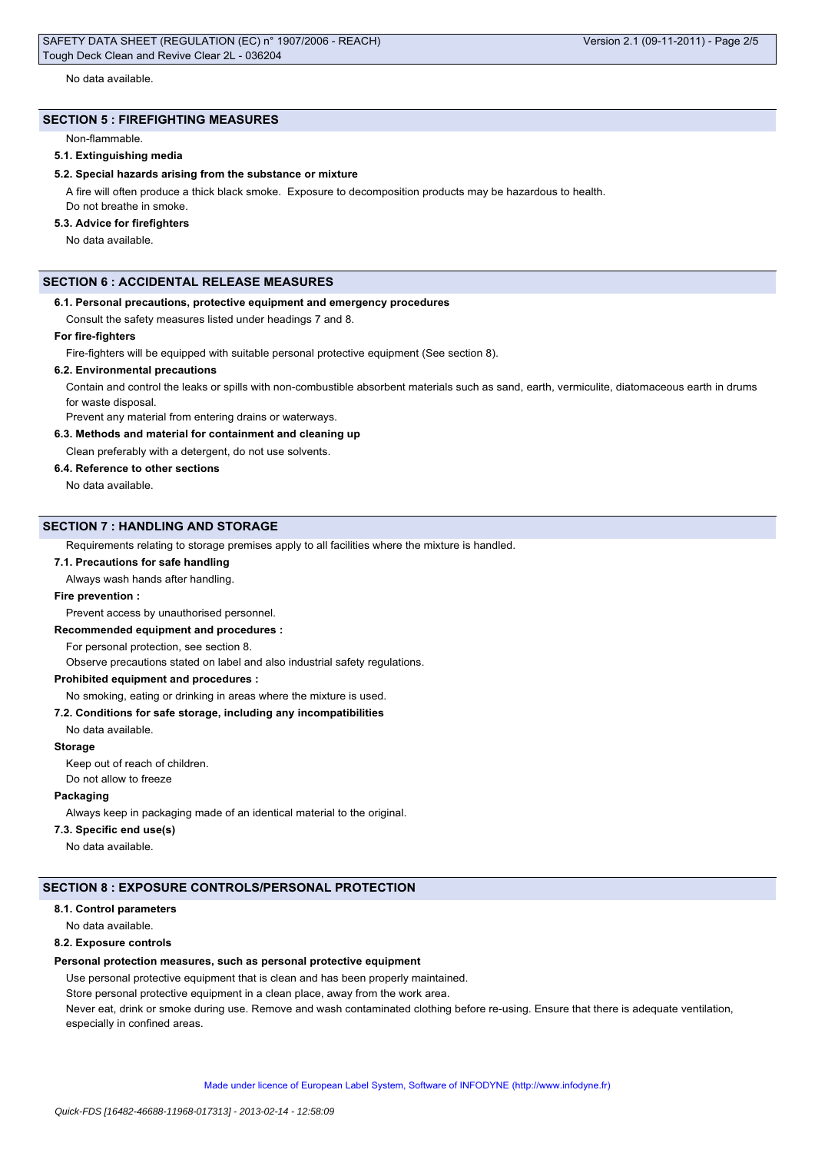# **SECTION 5 : FIREFIGHTING MEASURES**

Non-flammable.

### **5.1. Extinguishing media**

#### **5.2. Special hazards arising from the substance or mixture**

A fire will often produce a thick black smoke. Exposure to decomposition products may be hazardous to health. Do not breathe in smoke.

# **5.3. Advice for firefighters**

No data available.

# **SECTION 6 : ACCIDENTAL RELEASE MEASURES**

#### **6.1. Personal precautions, protective equipment and emergency procedures**

Consult the safety measures listed under headings 7 and 8.

#### **For fire-fighters**

Fire-fighters will be equipped with suitable personal protective equipment (See section 8).

### **6.2. Environmental precautions**

Contain and control the leaks or spills with non-combustible absorbent materials such as sand, earth, vermiculite, diatomaceous earth in drums for waste disposal.

Prevent any material from entering drains or waterways.

# **6.3. Methods and material for containment and cleaning up**

Clean preferably with a detergent, do not use solvents.

#### **6.4. Reference to other sections**

No data available.

#### **SECTION 7 : HANDLING AND STORAGE**

Requirements relating to storage premises apply to all facilities where the mixture is handled.

#### **7.1. Precautions for safe handling**

Always wash hands after handling.

#### **Fire prevention :**

Prevent access by unauthorised personnel.

#### **Recommended equipment and procedures :**

For personal protection, see section 8.

Observe precautions stated on label and also industrial safety regulations.

# **Prohibited equipment and procedures :**

# No smoking, eating or drinking in areas where the mixture is used.

# **7.2. Conditions for safe storage, including any incompatibilities**

No data available.

#### **Storage**

Keep out of reach of children.

Do not allow to freeze

# **Packaging**

Always keep in packaging made of an identical material to the original.

# **7.3. Specific end use(s)**

No data available.

#### **SECTION 8 : EXPOSURE CONTROLS/PERSONAL PROTECTION**

#### **8.1. Control parameters**

No data available.

# **8.2. Exposure controls**

#### **Personal protection measures, such as personal protective equipment**

Use personal protective equipment that is clean and has been properly maintained.

Store personal protective equipment in a clean place, away from the work area.

Never eat, drink or smoke during use. Remove and wash contaminated clothing before re-using. Ensure that there is adequate ventilation, especially in confined areas.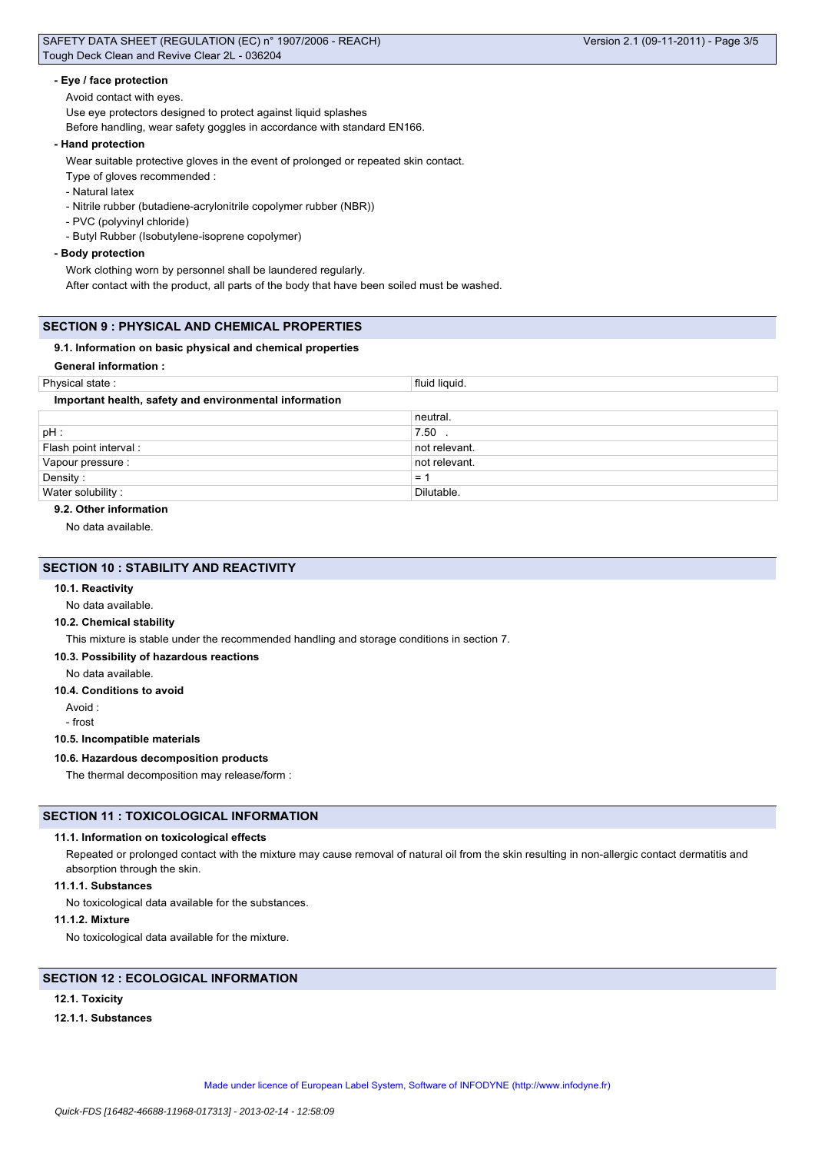#### **- Eye / face protection**

Avoid contact with eyes.

Use eye protectors designed to protect against liquid splashes

Before handling, wear safety goggles in accordance with standard EN166.

#### **- Hand protection**

Wear suitable protective gloves in the event of prolonged or repeated skin contact.

Type of gloves recommended :

- Natural latex

- Nitrile rubber (butadiene-acrylonitrile copolymer rubber (NBR))

- PVC (polyvinyl chloride)
- Butyl Rubber (Isobutylene-isoprene copolymer)

#### **- Body protection**

Work clothing worn by personnel shall be laundered regularly.

After contact with the product, all parts of the body that have been soiled must be washed.

### **SECTION 9 : PHYSICAL AND CHEMICAL PROPERTIES**

#### **9.1. Information on basic physical and chemical properties**

# **General information :**

| Physical state:                                        | fluid liquid. |  |
|--------------------------------------------------------|---------------|--|
| Important health, safety and environmental information |               |  |
|                                                        | neutral.      |  |
| pH :                                                   | 7.50          |  |
| Flash point interval:                                  | not relevant. |  |
| Vapour pressure :                                      | not relevant. |  |
| Density:                                               | $=$           |  |
| Water solubility:                                      | Dilutable.    |  |

#### **9.2. Other information**

No data available.

# **SECTION 10 : STABILITY AND REACTIVITY**

### **10.1. Reactivity**

No data available.

# **10.2. Chemical stability**

This mixture is stable under the recommended handling and storage conditions in section 7.

#### **10.3. Possibility of hazardous reactions**

No data available.

#### **10.4. Conditions to avoid**

Avoid :

- frost

### **10.5. Incompatible materials**

#### **10.6. Hazardous decomposition products**

The thermal decomposition may release/form :

# **SECTION 11 : TOXICOLOGICAL INFORMATION**

#### **11.1. Information on toxicological effects**

Repeated or prolonged contact with the mixture may cause removal of natural oil from the skin resulting in non-allergic contact dermatitis and absorption through the skin.

#### **11.1.1. Substances**

No toxicological data available for the substances.

# **11.1.2. Mixture**

No toxicological data available for the mixture.

# **SECTION 12 : ECOLOGICAL INFORMATION**

# **12.1. Toxicity**

#### **12.1.1. Substances**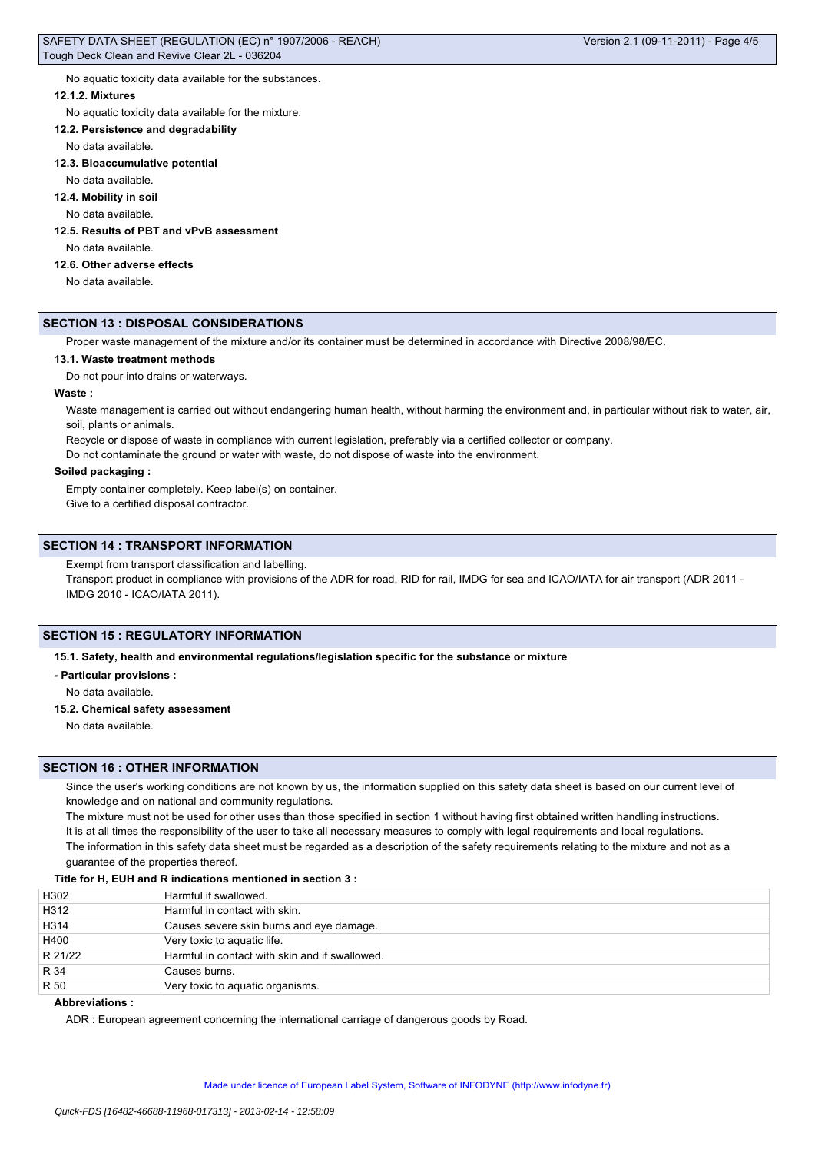No aquatic toxicity data available for the substances.

#### **12.1.2. Mixtures**

No aquatic toxicity data available for the mixture.

#### **12.2. Persistence and degradability**

No data available.

#### **12.3. Bioaccumulative potential**

No data available.

#### **12.4. Mobility in soil**

No data available.

# **12.5. Results of PBT and vPvB assessment**

No data available.

# **12.6. Other adverse effects**

No data available.

# **SECTION 13 : DISPOSAL CONSIDERATIONS**

Proper waste management of the mixture and/or its container must be determined in accordance with Directive 2008/98/EC.

#### **13.1. Waste treatment methods**

Do not pour into drains or waterways.

# **Waste :**

Waste management is carried out without endangering human health, without harming the environment and, in particular without risk to water, air, soil, plants or animals.

Recycle or dispose of waste in compliance with current legislation, preferably via a certified collector or company.

Do not contaminate the ground or water with waste, do not dispose of waste into the environment.

# **Soiled packaging :**

Empty container completely. Keep label(s) on container.

Give to a certified disposal contractor.

# **SECTION 14 : TRANSPORT INFORMATION**

Exempt from transport classification and labelling.

Transport product in compliance with provisions of the ADR for road, RID for rail, IMDG for sea and ICAO/IATA for air transport (ADR 2011 -IMDG 2010 - ICAO/IATA 2011).

# **SECTION 15 : REGULATORY INFORMATION**

**15.1. Safety, health and environmental regulations/legislation specific for the substance or mixture**

**- Particular provisions :**

No data available.

#### **15.2. Chemical safety assessment**

No data available.

#### **SECTION 16 : OTHER INFORMATION**

Since the user's working conditions are not known by us, the information supplied on this safety data sheet is based on our current level of knowledge and on national and community regulations.

The mixture must not be used for other uses than those specified in section 1 without having first obtained written handling instructions. It is at all times the responsibility of the user to take all necessary measures to comply with legal requirements and local regulations. The information in this safety data sheet must be regarded as a description of the safety requirements relating to the mixture and not as a guarantee of the properties thereof.

### **Title for H, EUH and R indications mentioned in section 3 :**

| H302    | Harmful if swallowed.                          |
|---------|------------------------------------------------|
| H312    | Harmful in contact with skin.                  |
| H314    | Causes severe skin burns and eye damage.       |
| H400    | Very toxic to aquatic life.                    |
| R 21/22 | Harmful in contact with skin and if swallowed. |
| R 34    | Causes burns.                                  |
| R 50    | Very toxic to aquatic organisms.               |

# **Abbreviations :**

ADR : European agreement concerning the international carriage of dangerous goods by Road.